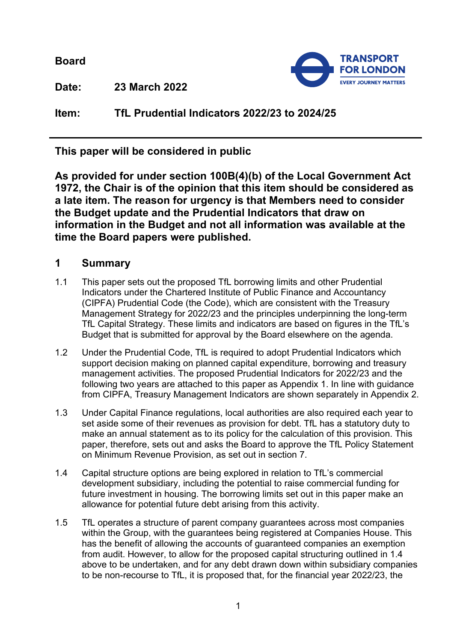**Board**



**Date: 23 March 2022**

**Item: TfL Prudential Indicators 2022/23 to 2024/25**

**This paper will be considered in public**

**As provided for under section 100B(4)(b) of the Local Government Act 1972, the Chair is of the opinion that this item should be considered as a late item. The reason for urgency is that Members need to consider the Budget update and the Prudential Indicators that draw on information in the Budget and not all information was available at the time the Board papers were published.**

# **1 Summary**

- 1.1 This paper sets out the proposed TfL borrowing limits and other Prudential Indicators under the Chartered Institute of Public Finance and Accountancy (CIPFA) Prudential Code (the Code), which are consistent with the Treasury Management Strategy for 2022/23 and the principles underpinning the long-term TfL Capital Strategy. These limits and indicators are based on figures in the TfL's Budget that is submitted for approval by the Board elsewhere on the agenda.
- 1.2 Under the Prudential Code, TfL is required to adopt Prudential Indicators which support decision making on planned capital expenditure, borrowing and treasury management activities. The proposed Prudential Indicators for 2022/23 and the following two years are attached to this paper as Appendix 1. In line with guidance from CIPFA, Treasury Management Indicators are shown separately in Appendix 2.
- 1.3 Under Capital Finance regulations, local authorities are also required each year to set aside some of their revenues as provision for debt. TfL has a statutory duty to make an annual statement as to its policy for the calculation of this provision. This paper, therefore, sets out and asks the Board to approve the TfL Policy Statement on Minimum Revenue Provision, as set out in section [7.](#page-6-0)
- <span id="page-0-0"></span>1.4 Capital structure options are being explored in relation to TfL's commercial development subsidiary, including the potential to raise commercial funding for future investment in housing. The borrowing limits set out in this paper make an allowance for potential future debt arising from this activity.
- 1.5 TfL operates a structure of parent company guarantees across most companies within the Group, with the guarantees being registered at Companies House. This has the benefit of allowing the accounts of guaranteed companies an exemption from audit. However, to allow for the proposed capital structuring outlined in 1.4 above to be undertaken, and for any debt drawn down within subsidiary companies to be non-recourse to TfL, it is proposed that, for the financial year 2022/23, the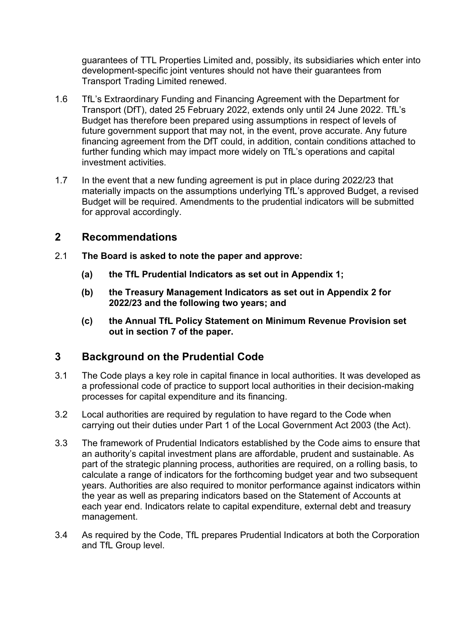guarantees of TTL Properties Limited and, possibly, its subsidiaries which enter into development-specific joint ventures should not have their guarantees from Transport Trading Limited renewed.

- 1.6 TfL's Extraordinary Funding and Financing Agreement with the Department for Transport (DfT), dated 25 February 2022, extends only until 24 June 2022. TfL's Budget has therefore been prepared using assumptions in respect of levels of future government support that may not, in the event, prove accurate. Any future financing agreement from the DfT could, in addition, contain conditions attached to further funding which may impact more widely on TfL's operations and capital investment activities.
- 1.7 In the event that a new funding agreement is put in place during 2022/23 that materially impacts on the assumptions underlying TfL's approved Budget, a revised Budget will be required. Amendments to the prudential indicators will be submitted for approval accordingly.

### **2 Recommendations**

- 2.1 **The Board is asked to note the paper and approve:**
	- **(a) the TfL Prudential Indicators as set out in Appendix 1;**
	- **(b) the Treasury Management Indicators as set out in Appendix 2 for 2022/23 and the following two years; and**
	- **(c) the Annual TfL Policy Statement on Minimum Revenue Provision set out in section [7](#page-6-0) of the paper.**

# **3 Background on the Prudential Code**

- 3.1 The Code plays a key role in capital finance in local authorities. It was developed as a professional code of practice to support local authorities in their decision-making processes for capital expenditure and its financing.
- 3.2 Local authorities are required by regulation to have regard to the Code when carrying out their duties under Part 1 of the Local Government Act 2003 (the Act).
- 3.3 The framework of Prudential Indicators established by the Code aims to ensure that an authority's capital investment plans are affordable, prudent and sustainable. As part of the strategic planning process, authorities are required, on a rolling basis, to calculate a range of indicators for the forthcoming budget year and two subsequent years. Authorities are also required to monitor performance against indicators within the year as well as preparing indicators based on the Statement of Accounts at each year end. Indicators relate to capital expenditure, external debt and treasury management.
- 3.4 As required by the Code, TfL prepares Prudential Indicators at both the Corporation and TfL Group level.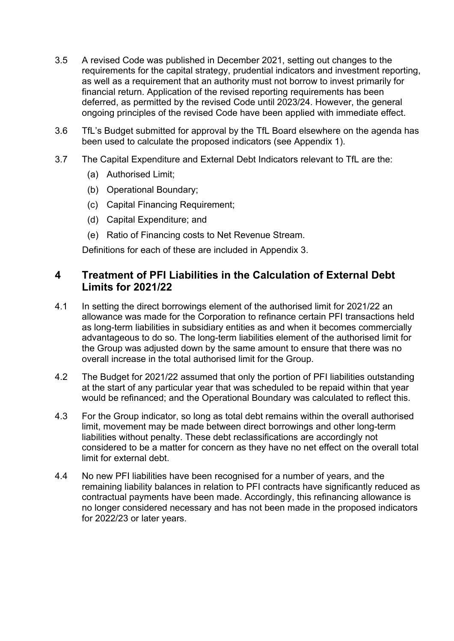- 3.5 A revised Code was published in December 2021, setting out changes to the requirements for the capital strategy, prudential indicators and investment reporting, as well as a requirement that an authority must not borrow to invest primarily for financial return. Application of the revised reporting requirements has been deferred, as permitted by the revised Code until 2023/24. However, the general ongoing principles of the revised Code have been applied with immediate effect.
- 3.6 TfL's Budget submitted for approval by the TfL Board elsewhere on the agenda has been used to calculate the proposed indicators (see Appendix 1).
- 3.7 The Capital Expenditure and External Debt Indicators relevant to TfL are the:
	- (a) Authorised Limit;
	- (b) Operational Boundary;
	- (c) Capital Financing Requirement;
	- (d) Capital Expenditure; and
	- (e) Ratio of Financing costs to Net Revenue Stream.

Definitions for each of these are included in Appendix 3.

### **4 Treatment of PFI Liabilities in the Calculation of External Debt Limits for 2021/22**

- 4.1 In setting the direct borrowings element of the authorised limit for 2021/22 an allowance was made for the Corporation to refinance certain PFI transactions held as long-term liabilities in subsidiary entities as and when it becomes commercially advantageous to do so. The long-term liabilities element of the authorised limit for the Group was adjusted down by the same amount to ensure that there was no overall increase in the total authorised limit for the Group.
- 4.2 The Budget for 2021/22 assumed that only the portion of PFI liabilities outstanding at the start of any particular year that was scheduled to be repaid within that year would be refinanced; and the Operational Boundary was calculated to reflect this.
- 4.3 For the Group indicator, so long as total debt remains within the overall authorised limit, movement may be made between direct borrowings and other long-term liabilities without penalty. These debt reclassifications are accordingly not considered to be a matter for concern as they have no net effect on the overall total limit for external debt.
- 4.4 No new PFI liabilities have been recognised for a number of years, and the remaining liability balances in relation to PFI contracts have significantly reduced as contractual payments have been made. Accordingly, this refinancing allowance is no longer considered necessary and has not been made in the proposed indicators for 2022/23 or later years.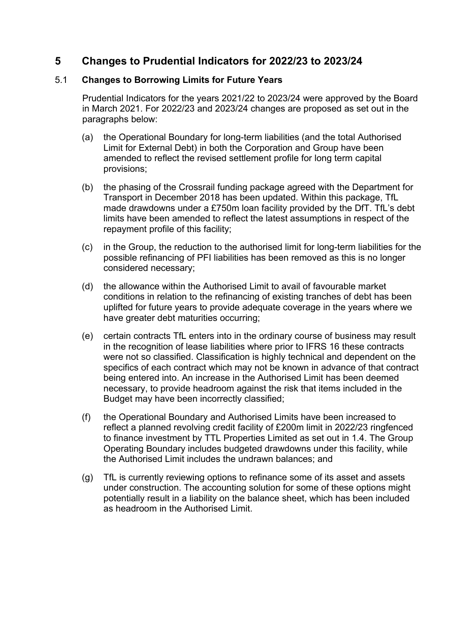### **5 Changes to Prudential Indicators for 2022/23 to 2023/24**

### <span id="page-3-0"></span>5.1 **Changes to Borrowing Limits for Future Years**

Prudential Indicators for the years 2021/22 to 2023/24 were approved by the Board in March 2021. For 2022/23 and 2023/24 changes are proposed as set out in the paragraphs below:

- (a) the Operational Boundary for long-term liabilities (and the total Authorised Limit for External Debt) in both the Corporation and Group have been amended to reflect the revised settlement profile for long term capital provisions;
- (b) the phasing of the Crossrail funding package agreed with the Department for Transport in December 2018 has been updated. Within this package, TfL made drawdowns under a £750m loan facility provided by the DfT. TfL's debt limits have been amended to reflect the latest assumptions in respect of the repayment profile of this facility;
- (c) in the Group, the reduction to the authorised limit for long-term liabilities for the possible refinancing of PFI liabilities has been removed as this is no longer considered necessary;
- (d) the allowance within the Authorised Limit to avail of favourable market conditions in relation to the refinancing of existing tranches of debt has been uplifted for future years to provide adequate coverage in the years where we have greater debt maturities occurring;
- (e) certain contracts TfL enters into in the ordinary course of business may result in the recognition of lease liabilities where prior to IFRS 16 these contracts were not so classified. Classification is highly technical and dependent on the specifics of each contract which may not be known in advance of that contract being entered into. An increase in the Authorised Limit has been deemed necessary, to provide headroom against the risk that items included in the Budget may have been incorrectly classified;
- (f) the Operational Boundary and Authorised Limits have been increased to reflect a planned revolving credit facility of £200m limit in 2022/23 ringfenced to finance investment by TTL Properties Limited as set out in [1.4.](#page-0-0) The Group Operating Boundary includes budgeted drawdowns under this facility, while the Authorised Limit includes the undrawn balances; and
- (g) TfL is currently reviewing options to refinance some of its asset and assets under construction. The accounting solution for some of these options might potentially result in a liability on the balance sheet, which has been included as headroom in the Authorised Limit.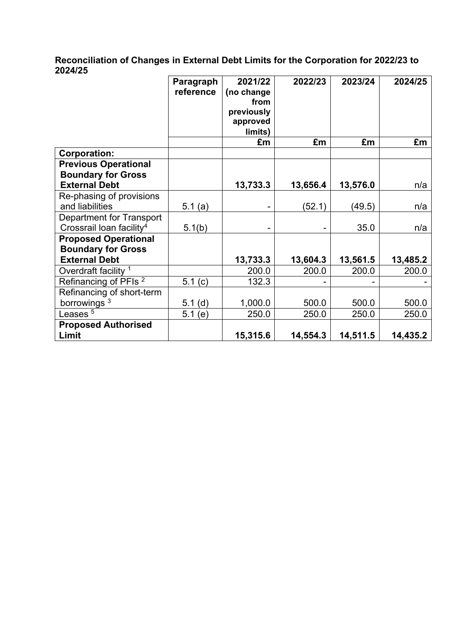### **Reconciliation of Changes in External Debt Limits for the Corporation for 2022/23 to 2024/25**

|                                      | Paragraph  | 2021/22    | 2022/23  | 2023/24  | 2024/25  |
|--------------------------------------|------------|------------|----------|----------|----------|
|                                      | reference  | (no change |          |          |          |
|                                      |            | from       |          |          |          |
|                                      |            | previously |          |          |          |
|                                      |            | approved   |          |          |          |
|                                      |            | limits)    |          |          |          |
|                                      |            | £m         | £m       | £m       | £m       |
| <b>Corporation:</b>                  |            |            |          |          |          |
| <b>Previous Operational</b>          |            |            |          |          |          |
| <b>Boundary for Gross</b>            |            |            |          |          |          |
| <b>External Debt</b>                 |            | 13,733.3   | 13,656.4 | 13,576.0 | n/a      |
| Re-phasing of provisions             |            |            |          |          |          |
| and liabilities                      | 5.1 $(a)$  |            | (52.1)   | (49.5)   | n/a      |
| Department for Transport             |            |            |          |          |          |
| Crossrail loan facility <sup>4</sup> | 5.1(b)     |            |          | 35.0     | n/a      |
| <b>Proposed Operational</b>          |            |            |          |          |          |
| <b>Boundary for Gross</b>            |            |            |          |          |          |
| <b>External Debt</b>                 |            | 13,733.3   | 13,604.3 | 13,561.5 | 13,485.2 |
| Overdraft facility <sup>1</sup>      |            | 200.0      | 200.0    | 200.0    | 200.0    |
| Refinancing of PFIs <sup>2</sup>     | 5.1 $(c)$  | 132.3      |          |          |          |
| Refinancing of short-term            |            |            |          |          |          |
| borrowings <sup>3</sup>              | $5.1$ (d)  | 1,000.0    | 500.0    | 500.0    | 500.0    |
| Leases <sup>5</sup>                  | 5.1<br>(e) | 250.0      | 250.0    | 250.0    | 250.0    |
| <b>Proposed Authorised</b>           |            |            |          |          |          |
| Limit                                |            | 15,315.6   | 14,554.3 | 14,511.5 | 14,435.2 |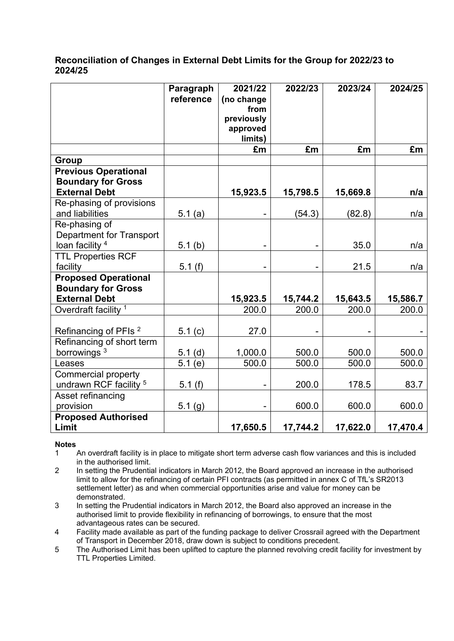#### **Reconciliation of Changes in External Debt Limits for the Group for 2022/23 to 2024/25**

|                                                  | Paragraph<br>reference | 2021/22<br>(no change<br>from<br>previously<br>approved<br>limits) | 2022/23  | 2023/24  | 2024/25  |
|--------------------------------------------------|------------------------|--------------------------------------------------------------------|----------|----------|----------|
|                                                  |                        | £m                                                                 | £m       | £m       | £m       |
| <b>Group</b>                                     |                        |                                                                    |          |          |          |
| <b>Previous Operational</b>                      |                        |                                                                    |          |          |          |
| <b>Boundary for Gross</b>                        |                        |                                                                    |          |          |          |
| <b>External Debt</b>                             |                        | 15,923.5                                                           | 15,798.5 | 15,669.8 | n/a      |
| Re-phasing of provisions<br>and liabilities      | 5.1(a)                 |                                                                    | (54.3)   | (82.8)   | n/a      |
| Re-phasing of<br><b>Department for Transport</b> |                        |                                                                    |          |          |          |
| loan facility <sup>4</sup>                       | 5.1(b)                 |                                                                    |          | 35.0     | n/a      |
| <b>TTL Properties RCF</b>                        |                        |                                                                    |          |          |          |
| facility                                         | 5.1(f)                 |                                                                    |          | 21.5     | n/a      |
| <b>Proposed Operational</b>                      |                        |                                                                    |          |          |          |
| <b>Boundary for Gross</b>                        |                        |                                                                    |          |          |          |
| <b>External Debt</b>                             |                        | 15,923.5                                                           | 15,744.2 | 15,643.5 | 15,586.7 |
| Overdraft facility <sup>1</sup>                  |                        | 200.0                                                              | 200.0    | 200.0    | 200.0    |
| Refinancing of PFIs <sup>2</sup>                 | 5.1 $(c)$              | 27.0                                                               |          |          |          |
| Refinancing of short term                        |                        |                                                                    |          |          |          |
| borrowings <sup>3</sup>                          | 5.1(d)                 | 1,000.0                                                            | 500.0    | 500.0    | 500.0    |
| Leases                                           | 5.1(e)                 | 500.0                                                              | 500.0    | 500.0    | 500.0    |
| <b>Commercial property</b>                       |                        |                                                                    |          |          |          |
| undrawn RCF facility <sup>5</sup>                | 5.1(f)                 |                                                                    | 200.0    | 178.5    | 83.7     |
| Asset refinancing<br>provision                   | 5.1(g)                 |                                                                    | 600.0    | 600.0    | 600.0    |
| <b>Proposed Authorised</b>                       |                        |                                                                    |          |          |          |
| Limit                                            |                        | 17,650.5                                                           | 17,744.2 | 17,622.0 | 17,470.4 |

#### **Notes**

1 An overdraft facility is in place to mitigate short term adverse cash flow variances and this is included in the authorised limit.

2 In setting the Prudential indicators in March 2012, the Board approved an increase in the authorised limit to allow for the refinancing of certain PFI contracts (as permitted in annex C of TfL's SR2013 settlement letter) as and when commercial opportunities arise and value for money can be demonstrated.

3 In setting the Prudential indicators in March 2012, the Board also approved an increase in the authorised limit to provide flexibility in refinancing of borrowings, to ensure that the most advantageous rates can be secured.

4 Facility made available as part of the funding package to deliver Crossrail agreed with the Department of Transport in December 2018, draw down is subject to conditions precedent.

5 The Authorised Limit has been uplifted to capture the planned revolving credit facility for investment by TTL Properties Limited.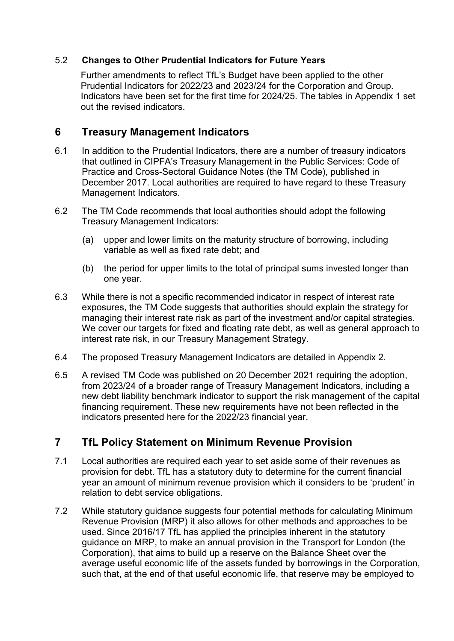### 5.2 **Changes to Other Prudential Indicators for Future Years**

Further amendments to reflect TfL's Budget have been applied to the other Prudential Indicators for 2022/23 and 2023/24 for the Corporation and Group. Indicators have been set for the first time for 2024/25. The tables in Appendix 1 set out the revised indicators.

# **6 Treasury Management Indicators**

- 6.1 In addition to the Prudential Indicators, there are a number of treasury indicators that outlined in CIPFA's Treasury Management in the Public Services: Code of Practice and Cross-Sectoral Guidance Notes (the TM Code), published in December 2017. Local authorities are required to have regard to these Treasury Management Indicators.
- 6.2 The TM Code recommends that local authorities should adopt the following Treasury Management Indicators:
	- (a) upper and lower limits on the maturity structure of borrowing, including variable as well as fixed rate debt; and
	- (b) the period for upper limits to the total of principal sums invested longer than one year.
- 6.3 While there is not a specific recommended indicator in respect of interest rate exposures, the TM Code suggests that authorities should explain the strategy for managing their interest rate risk as part of the investment and/or capital strategies. We cover our targets for fixed and floating rate debt, as well as general approach to interest rate risk, in our Treasury Management Strategy.
- 6.4 The proposed Treasury Management Indicators are detailed in Appendix 2.
- 6.5 A revised TM Code was published on 20 December 2021 requiring the adoption, from 2023/24 of a broader range of Treasury Management Indicators, including a new debt liability benchmark indicator to support the risk management of the capital financing requirement. These new requirements have not been reflected in the indicators presented here for the 2022/23 financial year.

# <span id="page-6-0"></span>**7 TfL Policy Statement on Minimum Revenue Provision**

- 7.1 Local authorities are required each year to set aside some of their revenues as provision for debt. TfL has a statutory duty to determine for the current financial year an amount of minimum revenue provision which it considers to be 'prudent' in relation to debt service obligations.
- 7.2 While statutory guidance suggests four potential methods for calculating Minimum Revenue Provision (MRP) it also allows for other methods and approaches to be used. Since 2016/17 TfL has applied the principles inherent in the statutory guidance on MRP, to make an annual provision in the Transport for London (the Corporation), that aims to build up a reserve on the Balance Sheet over the average useful economic life of the assets funded by borrowings in the Corporation, such that, at the end of that useful economic life, that reserve may be employed to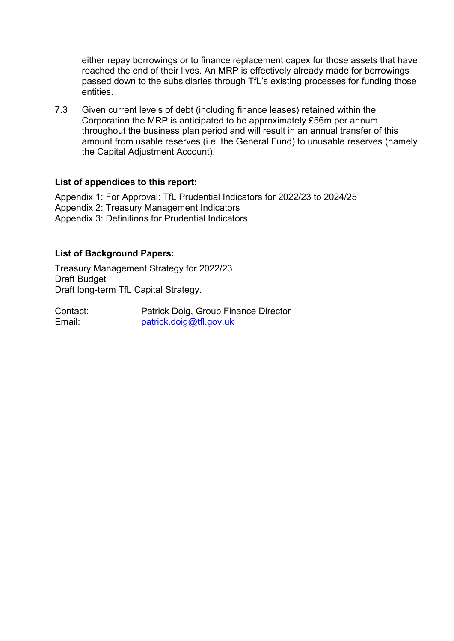either repay borrowings or to finance replacement capex for those assets that have reached the end of their lives. An MRP is effectively already made for borrowings passed down to the subsidiaries through TfL's existing processes for funding those entities.

7.3 Given current levels of debt (including finance leases) retained within the Corporation the MRP is anticipated to be approximately £56m per annum throughout the business plan period and will result in an annual transfer of this amount from usable reserves (i.e. the General Fund) to unusable reserves (namely the Capital Adjustment Account).

#### **List of appendices to this report:**

Appendix 1: For Approval: TfL Prudential Indicators for 2022/23 to 2024/25 Appendix 2: Treasury Management Indicators Appendix 3: Definitions for Prudential Indicators

### **List of Background Papers:**

Treasury Management Strategy for 2022/23 Draft Budget Draft long-term TfL Capital Strategy.

| Contact: | Patrick Doig, Group Finance Director |
|----------|--------------------------------------|
| Email:   | patrick.doig@tfl.gov.uk              |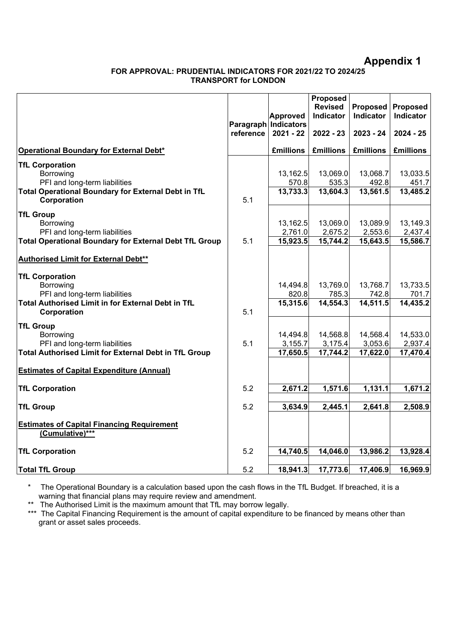### **Appendix 1**

#### **FOR APPROVAL: PRUDENTIAL INDICATORS FOR 2021/22 TO 2024/25 TRANSPORT for LONDON**

|                                                                    |           | <b>Approved</b>                     | Proposed<br><b>Revised</b><br>Indicator | Proposed<br>Indicator | Proposed<br>Indicator |
|--------------------------------------------------------------------|-----------|-------------------------------------|-----------------------------------------|-----------------------|-----------------------|
|                                                                    | reference | Paragraph Indicators<br>$2021 - 22$ | $2022 - 23$                             | $2023 - 24$           | $2024 - 25$           |
| <b>Operational Boundary for External Debt*</b>                     |           | <b>£millions</b>                    | <b>£millions</b>                        | <b>£millions</b>      | <b>£millions</b>      |
| <b>TfL Corporation</b>                                             |           |                                     |                                         |                       |                       |
| Borrowing                                                          |           | 13,162.5                            | 13,069.0                                | 13,068.7              | 13,033.5              |
| PFI and long-term liabilities                                      |           | 570.8                               | 535.3                                   | 492.8                 | 451.7                 |
| Total Operational Boundary for External Debt in TfL<br>Corporation | 5.1       | 13,733.3                            | 13,604.3                                | 13,561.5              | 13,485.2              |
| <b>TfL Group</b>                                                   |           |                                     |                                         |                       |                       |
| Borrowing                                                          |           | 13,162.5                            | 13,069.0                                | 13,089.9              | 13,149.3              |
| PFI and long-term liabilities                                      |           | 2,761.0                             | 2,675.2                                 | 2,553.6               | 2,437.4               |
| <b>Total Operational Boundary for External Debt TfL Group</b>      | 5.1       | 15,923.5                            | 15,744.2                                | 15,643.5              | 15,586.7              |
| Authorised Limit for External Debt**                               |           |                                     |                                         |                       |                       |
| <b>TfL Corporation</b>                                             |           |                                     |                                         |                       |                       |
| Borrowing                                                          |           | 14,494.8                            | 13,769.0                                | 13,768.7              | 13,733.5              |
| PFI and long-term liabilities                                      |           | 820.8                               | 785.3                                   | 742.8                 | 701.7                 |
| Total Authorised Limit in for External Debt in TfL<br>Corporation  | 5.1       | 15,315.6                            | 14,554.3                                | $\overline{14,511.5}$ | 14,435.2              |
| <b>TfL Group</b>                                                   |           |                                     |                                         |                       |                       |
| Borrowing                                                          |           | 14,494.8                            | 14,568.8                                | 14,568.4              | 14,533.0              |
| PFI and long-term liabilities                                      | 5.1       | 3,155.7                             | 3,175.4                                 | 3,053.6               | 2,937.4               |
| <b>Total Authorised Limit for External Debt in TfL Group</b>       |           | 17,650.5                            | 17,744.2                                | 17,622.0              | 17,470.4              |
| <b>Estimates of Capital Expenditure (Annual)</b>                   |           |                                     |                                         |                       |                       |
| <b>TfL Corporation</b>                                             | 5.2       | 2,671.2                             | 1,571.6                                 | 1,131.1               | 1,671.2               |
|                                                                    |           |                                     |                                         |                       |                       |
| <b>TfL Group</b>                                                   | 5.2       | 3,634.9                             | 2,445.1                                 | 2,641.8               | 2,508.9               |
| <b>Estimates of Capital Financing Requirement</b>                  |           |                                     |                                         |                       |                       |
| (Cumulative)***                                                    |           |                                     |                                         |                       |                       |
| <b>TfL Corporation</b>                                             | 5.2       | 14,740.5                            | 14,046.0                                | 13,986.2              | 13,928.4              |
| <b>Total TfL Group</b>                                             | 5.2       | 18,941.3                            | 17,773.6                                | 17,406.9              | 16,969.9              |
|                                                                    |           |                                     |                                         |                       |                       |

\* The Operational Boundary is a calculation based upon the cash flows in the TfL Budget. If breached, it is a warning that financial plans may require review and amendment.

\*\* The Authorised Limit is the maximum amount that TfL may borrow legally.

\*\*\* The Capital Financing Requirement is the amount of capital expenditure to be financed by means other than grant or asset sales proceeds.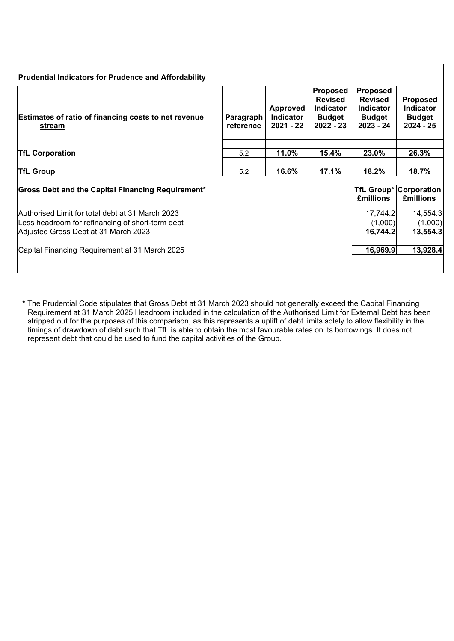| <b>Prudential Indicators for Prudence and Affordability</b>                                                                                  |                        |                                           |                                                                              |                                                                                     |                                                                     |
|----------------------------------------------------------------------------------------------------------------------------------------------|------------------------|-------------------------------------------|------------------------------------------------------------------------------|-------------------------------------------------------------------------------------|---------------------------------------------------------------------|
| <b>Estimates of ratio of financing costs to net revenue</b><br>stream                                                                        | Paragraph<br>reference | Approved<br><b>Indicator</b><br>2021 - 22 | <b>Proposed</b><br><b>Revised</b><br><b>Indicator</b><br>Budget<br>2022 - 23 | <b>Proposed</b><br><b>Revised</b><br><b>Indicator</b><br><b>Budget</b><br>2023 - 24 | <b>Proposed</b><br><b>Indicator</b><br><b>Budget</b><br>$2024 - 25$ |
| <b>TfL Corporation</b>                                                                                                                       | 5.2                    | 11.0%                                     | 15.4%                                                                        | 23.0%                                                                               | 26.3%                                                               |
| <b>TfL Group</b>                                                                                                                             | 5.2                    | 16.6%                                     | 17.1%                                                                        | 18.2%                                                                               | 18.7%                                                               |
| <b>Gross Debt and the Capital Financing Requirement*</b>                                                                                     |                        |                                           |                                                                              | <b>£millions</b>                                                                    | <b>TfL Group* Corporation</b><br><b>£millions</b>                   |
| Authorised Limit for total debt at 31 March 2023<br>Less headroom for refinancing of short-term debt<br>Adjusted Gross Debt at 31 March 2023 |                        |                                           |                                                                              | 17,744.2<br>(1,000)<br>16,744.2                                                     | 14,554.3<br>(1,000)<br>13,554.3                                     |
| Capital Financing Requirement at 31 March 2025                                                                                               |                        |                                           |                                                                              | 16,969.9                                                                            | 13,928.4                                                            |

\* The Prudential Code stipulates that Gross Debt at 31 March 2023 should not generally exceed the Capital Financing Requirement at 31 March 2025 Headroom included in the calculation of the Authorised Limit for External Debt has been stripped out for the purposes of this comparison, as this represents a uplift of debt limits solely to allow flexibility in the timings of drawdown of debt such that TfL is able to obtain the most favourable rates on its borrowings. It does not represent debt that could be used to fund the capital activities of the Group.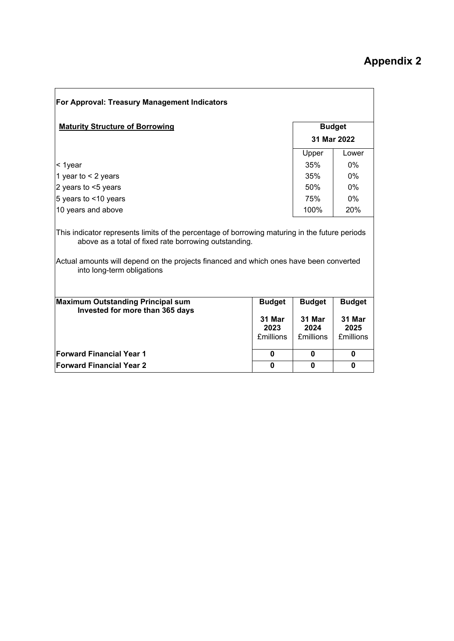| For Approval: Treasury Management Indicators                                                                                                                                                                                                                                    |                                    |                                    |                                    |  |  |  |
|---------------------------------------------------------------------------------------------------------------------------------------------------------------------------------------------------------------------------------------------------------------------------------|------------------------------------|------------------------------------|------------------------------------|--|--|--|
| <b>Maturity Structure of Borrowing</b>                                                                                                                                                                                                                                          |                                    |                                    | <b>Budget</b>                      |  |  |  |
|                                                                                                                                                                                                                                                                                 |                                    |                                    | 31 Mar 2022                        |  |  |  |
|                                                                                                                                                                                                                                                                                 |                                    | Upper                              | Lower                              |  |  |  |
| < 1year                                                                                                                                                                                                                                                                         |                                    | 35%                                | $0\%$                              |  |  |  |
| 1 year to $<$ 2 years                                                                                                                                                                                                                                                           |                                    | 35%                                | 0%                                 |  |  |  |
| 2 years to <5 years                                                                                                                                                                                                                                                             |                                    | 50%                                | $0\%$                              |  |  |  |
| 5 years to <10 years                                                                                                                                                                                                                                                            |                                    | 75%                                | 0%                                 |  |  |  |
| 10 years and above                                                                                                                                                                                                                                                              |                                    |                                    | 20%                                |  |  |  |
| This indicator represents limits of the percentage of borrowing maturing in the future periods<br>above as a total of fixed rate borrowing outstanding.<br>Actual amounts will depend on the projects financed and which ones have been converted<br>into long-term obligations |                                    |                                    |                                    |  |  |  |
| <b>Maximum Outstanding Principal sum</b><br>Invested for more than 365 days                                                                                                                                                                                                     | <b>Budget</b>                      | <b>Budget</b>                      | <b>Budget</b>                      |  |  |  |
|                                                                                                                                                                                                                                                                                 | 31 Mar<br>2023<br><b>£millions</b> | 31 Mar<br>2024<br><b>£millions</b> | 31 Mar<br>2025<br><b>£millions</b> |  |  |  |
| <b>Forward Financial Year 1</b>                                                                                                                                                                                                                                                 | $\bf{0}$                           | 0                                  | 0                                  |  |  |  |
| <b>Forward Financial Year 2</b>                                                                                                                                                                                                                                                 | $\bf{0}$                           | 0                                  | $\bf{0}$                           |  |  |  |